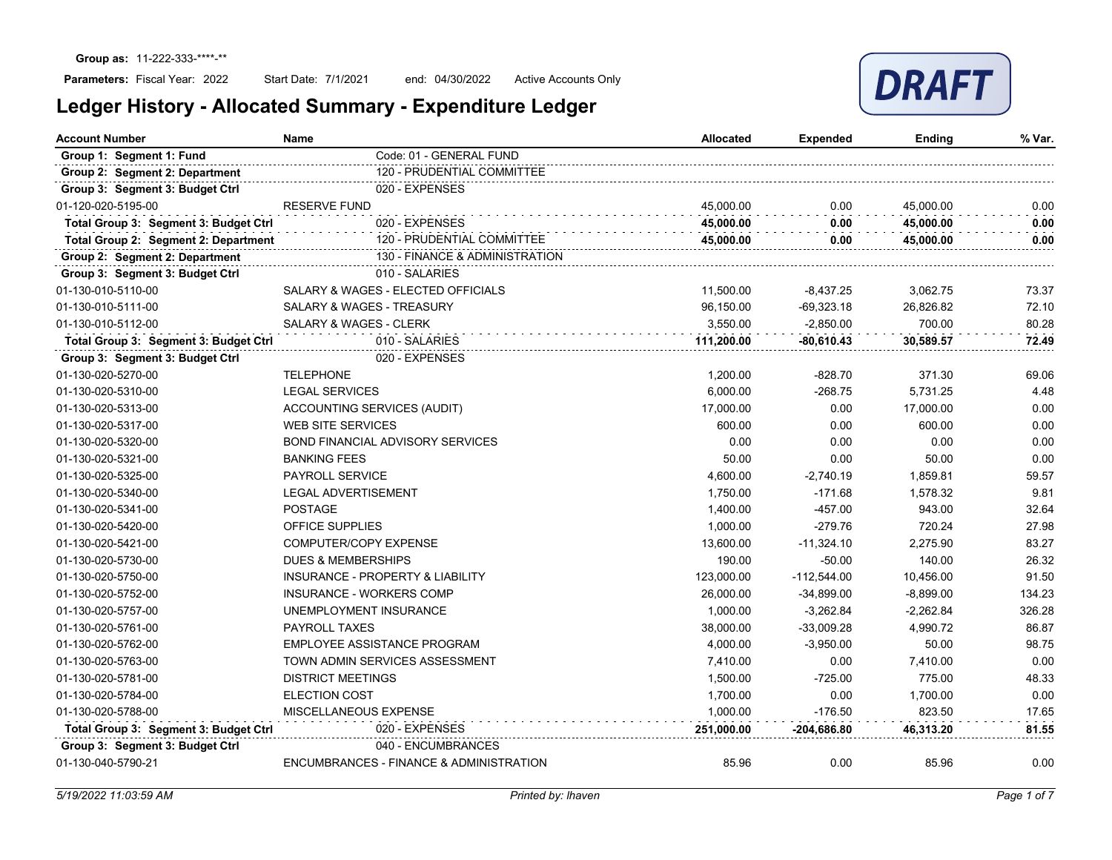

| <b>Account Number</b>                 | Name                                    | <b>Allocated</b> | <b>Expended</b> | Ending      | % Var. |
|---------------------------------------|-----------------------------------------|------------------|-----------------|-------------|--------|
| Group 1: Segment 1: Fund              | Code: 01 - GENERAL FUND                 |                  |                 |             |        |
| Group 2: Segment 2: Department        | 120 - PRUDENTIAL COMMITTEE              |                  |                 |             |        |
| Group 3: Segment 3: Budget Ctrl       | 020 - EXPENSES                          |                  |                 |             |        |
| 01-120-020-5195-00                    | <b>RESERVE FUND</b>                     | 45,000.00        | 0.00            | 45,000.00   | 0.00   |
| Total Group 3: Segment 3: Budget Ctrl | 020 - EXPENSES                          | 45,000.00        | 0.00            | 45.000.00   | 0.00   |
| Total Group 2: Segment 2: Department  | 120 - PRUDENTIAL COMMITTEE              | 45,000.00        | 0.00            | 45,000.00   | 0.00   |
| Group 2: Segment 2: Department        | 130 - FINANCE & ADMINISTRATION          |                  |                 |             |        |
| Group 3: Segment 3: Budget Ctrl       | 010 - SALARIES                          |                  |                 |             |        |
| 01-130-010-5110-00                    | SALARY & WAGES - ELECTED OFFICIALS      | 11,500.00        | $-8,437.25$     | 3,062.75    | 73.37  |
| 01-130-010-5111-00                    | SALARY & WAGES - TREASURY               | 96,150.00        | $-69,323.18$    | 26,826.82   | 72.10  |
| 01-130-010-5112-00                    | <b>SALARY &amp; WAGES - CLERK</b>       | 3,550.00         | $-2.850.00$     | 700.00      | 80.28  |
| Total Group 3: Segment 3: Budget Ctrl | 010 - SALARIES                          | 111,200.00       | $-80,610.43$    | 30,589.57   | 72.49  |
| Group 3: Segment 3: Budget Ctrl       | 020 - EXPENSES                          |                  |                 |             |        |
| 01-130-020-5270-00                    | <b>TELEPHONE</b>                        | 1,200.00         | $-828.70$       | 371.30      | 69.06  |
| 01-130-020-5310-00                    | <b>LEGAL SERVICES</b>                   | 6.000.00         | $-268.75$       | 5,731.25    | 4.48   |
| 01-130-020-5313-00                    | ACCOUNTING SERVICES (AUDIT)             | 17,000.00        | 0.00            | 17,000.00   | 0.00   |
| 01-130-020-5317-00                    | <b>WEB SITE SERVICES</b>                | 600.00           | 0.00            | 600.00      | 0.00   |
| 01-130-020-5320-00                    | <b>BOND FINANCIAL ADVISORY SERVICES</b> | 0.00             | 0.00            | 0.00        | 0.00   |
| 01-130-020-5321-00                    | <b>BANKING FEES</b>                     | 50.00            | 0.00            | 50.00       | 0.00   |
| 01-130-020-5325-00                    | <b>PAYROLL SERVICE</b>                  | 4,600.00         | $-2,740.19$     | 1,859.81    | 59.57  |
| 01-130-020-5340-00                    | <b>LEGAL ADVERTISEMENT</b>              | 1,750.00         | $-171.68$       | 1,578.32    | 9.81   |
| 01-130-020-5341-00                    | POSTAGE                                 | 1,400.00         | $-457.00$       | 943.00      | 32.64  |
| 01-130-020-5420-00                    | <b>OFFICE SUPPLIES</b>                  | 1,000.00         | $-279.76$       | 720.24      | 27.98  |
| 01-130-020-5421-00                    | COMPUTER/COPY EXPENSE                   | 13,600.00        | $-11,324.10$    | 2,275.90    | 83.27  |
| 01-130-020-5730-00                    | <b>DUES &amp; MEMBERSHIPS</b>           | 190.00           | $-50.00$        | 140.00      | 26.32  |
| 01-130-020-5750-00                    | INSURANCE - PROPERTY & LIABILITY        | 123,000.00       | $-112,544.00$   | 10,456.00   | 91.50  |
| 01-130-020-5752-00                    | <b>INSURANCE - WORKERS COMP</b>         | 26,000.00        | $-34,899.00$    | $-8,899.00$ | 134.23 |
| 01-130-020-5757-00                    | UNEMPLOYMENT INSURANCE                  | 1,000.00         | $-3,262.84$     | $-2,262.84$ | 326.28 |
| 01-130-020-5761-00                    | <b>PAYROLL TAXES</b>                    | 38,000.00        | $-33,009.28$    | 4,990.72    | 86.87  |
| 01-130-020-5762-00                    | EMPLOYEE ASSISTANCE PROGRAM             | 4,000.00         | $-3,950.00$     | 50.00       | 98.75  |
| 01-130-020-5763-00                    | TOWN ADMIN SERVICES ASSESSMENT          | 7,410.00         | 0.00            | 7,410.00    | 0.00   |
| 01-130-020-5781-00                    | <b>DISTRICT MEETINGS</b>                | 1,500.00         | $-725.00$       | 775.00      | 48.33  |
| 01-130-020-5784-00                    | <b>ELECTION COST</b>                    | 1,700.00         | 0.00            | 1,700.00    | 0.00   |
| 01-130-020-5788-00                    | MISCELLANEOUS EXPENSE                   | 1,000.00         | $-176.50$       | 823.50      | 17.65  |
| Total Group 3: Segment 3: Budget Ctrl | 020 - EXPENSES                          | 251,000.00       | -204,686.80     | 46,313.20   | 81.55  |
| Group 3: Segment 3: Budget Ctrl       | 040 - ENCUMBRANCES                      |                  |                 |             |        |
| 01-130-040-5790-21                    | ENCUMBRANCES - FINANCE & ADMINISTRATION | 85.96            | 0.00            | 85.96       | 0.00   |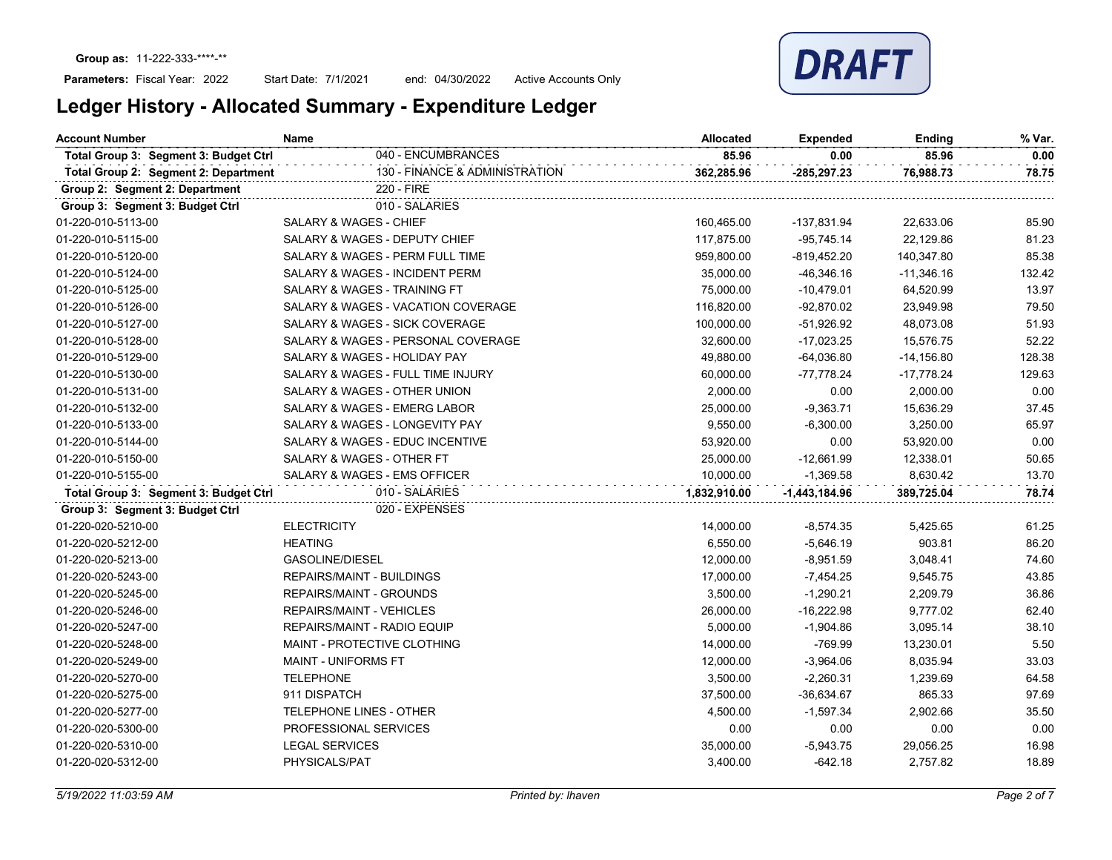Start Date: 7/1/2021 end: 04/30/2022 Active Accounts Only



| <b>Account Number</b>                 | Name                               | <b>Allocated</b> | <b>Expended</b> | Ending       | % Var. |
|---------------------------------------|------------------------------------|------------------|-----------------|--------------|--------|
| Total Group 3: Segment 3: Budget Ctrl | 040 - ENCUMBRANCES                 | 85.96            | 0.00            | 85.96        | 0.00   |
| Total Group 2: Segment 2: Department  | 130 - FINANCE & ADMINISTRATION     | 362,285.96       | -285,297.23     | 76,988.73    | 78.75  |
| Group 2: Segment 2: Department        | 220 - FIRE                         |                  |                 |              |        |
| Group 3: Segment 3: Budget Ctrl       | 010 - SALARIES                     |                  |                 |              |        |
| 01-220-010-5113-00                    | <b>SALARY &amp; WAGES - CHIEF</b>  | 160,465.00       | -137,831.94     | 22,633.06    | 85.90  |
| 01-220-010-5115-00                    | SALARY & WAGES - DEPUTY CHIEF      | 117,875.00       | $-95,745.14$    | 22,129.86    | 81.23  |
| 01-220-010-5120-00                    | SALARY & WAGES - PERM FULL TIME    | 959,800.00       | $-819,452.20$   | 140,347.80   | 85.38  |
| 01-220-010-5124-00                    | SALARY & WAGES - INCIDENT PERM     | 35,000.00        | $-46,346.16$    | $-11,346.16$ | 132.42 |
| 01-220-010-5125-00                    | SALARY & WAGES - TRAINING FT       | 75,000.00        | $-10,479.01$    | 64,520.99    | 13.97  |
| 01-220-010-5126-00                    | SALARY & WAGES - VACATION COVERAGE | 116,820.00       | $-92,870.02$    | 23,949.98    | 79.50  |
| 01-220-010-5127-00                    | SALARY & WAGES - SICK COVERAGE     | 100,000.00       | $-51,926.92$    | 48,073.08    | 51.93  |
| 01-220-010-5128-00                    | SALARY & WAGES - PERSONAL COVERAGE | 32,600.00        | $-17,023.25$    | 15,576.75    | 52.22  |
| 01-220-010-5129-00                    | SALARY & WAGES - HOLIDAY PAY       | 49,880.00        | $-64,036.80$    | $-14,156.80$ | 128.38 |
| 01-220-010-5130-00                    | SALARY & WAGES - FULL TIME INJURY  | 60,000.00        | $-77,778.24$    | $-17,778.24$ | 129.63 |
| 01-220-010-5131-00                    | SALARY & WAGES - OTHER UNION       | 2,000.00         | 0.00            | 2,000.00     | 0.00   |
| 01-220-010-5132-00                    | SALARY & WAGES - EMERG LABOR       | 25,000.00        | $-9,363.71$     | 15,636.29    | 37.45  |
| 01-220-010-5133-00                    | SALARY & WAGES - LONGEVITY PAY     | 9,550.00         | $-6,300.00$     | 3,250.00     | 65.97  |
| 01-220-010-5144-00                    | SALARY & WAGES - EDUC INCENTIVE    | 53,920.00        | 0.00            | 53,920.00    | 0.00   |
| 01-220-010-5150-00                    | SALARY & WAGES - OTHER FT          | 25,000.00        | $-12,661.99$    | 12,338.01    | 50.65  |
| 01-220-010-5155-00                    | SALARY & WAGES - EMS OFFICER       | 10,000.00        | $-1,369.58$     | 8,630.42     | 13.70  |
| Total Group 3: Segment 3: Budget Ctrl | 010 - SALARIES                     | 1,832,910.00     | $-1,443,184.96$ | 389,725.04   | 78.74  |
| Group 3: Segment 3: Budget Ctrl       | 020 - EXPENSES                     |                  |                 |              |        |
| 01-220-020-5210-00                    | <b>ELECTRICITY</b>                 | 14,000.00        | $-8,574.35$     | 5,425.65     | 61.25  |
| 01-220-020-5212-00                    | <b>HEATING</b>                     | 6,550.00         | $-5,646.19$     | 903.81       | 86.20  |
| 01-220-020-5213-00                    | GASOLINE/DIESEL                    | 12,000.00        | $-8,951.59$     | 3,048.41     | 74.60  |
| 01-220-020-5243-00                    | <b>REPAIRS/MAINT - BUILDINGS</b>   | 17,000.00        | $-7,454.25$     | 9,545.75     | 43.85  |
| 01-220-020-5245-00                    | REPAIRS/MAINT - GROUNDS            | 3,500.00         | $-1,290.21$     | 2,209.79     | 36.86  |
| 01-220-020-5246-00                    | REPAIRS/MAINT - VEHICLES           | 26,000.00        | $-16,222.98$    | 9,777.02     | 62.40  |
| 01-220-020-5247-00                    | REPAIRS/MAINT - RADIO EQUIP        | 5,000.00         | $-1,904.86$     | 3,095.14     | 38.10  |
| 01-220-020-5248-00                    | MAINT - PROTECTIVE CLOTHING        | 14,000.00        | $-769.99$       | 13,230.01    | 5.50   |
| 01-220-020-5249-00                    | <b>MAINT - UNIFORMS FT</b>         | 12,000.00        | $-3,964.06$     | 8,035.94     | 33.03  |
| 01-220-020-5270-00                    | <b>TELEPHONE</b>                   | 3,500.00         | $-2,260.31$     | 1,239.69     | 64.58  |
| 01-220-020-5275-00                    | 911 DISPATCH                       | 37,500.00        | $-36,634.67$    | 865.33       | 97.69  |
| 01-220-020-5277-00                    | <b>TELEPHONE LINES - OTHER</b>     | 4,500.00         | $-1,597.34$     | 2,902.66     | 35.50  |
| 01-220-020-5300-00                    | PROFESSIONAL SERVICES              | 0.00             | 0.00            | 0.00         | 0.00   |
| 01-220-020-5310-00                    | <b>LEGAL SERVICES</b>              | 35,000.00        | $-5,943.75$     | 29,056.25    | 16.98  |
| 01-220-020-5312-00                    | PHYSICALS/PAT                      | 3,400.00         | $-642.18$       | 2,757.82     | 18.89  |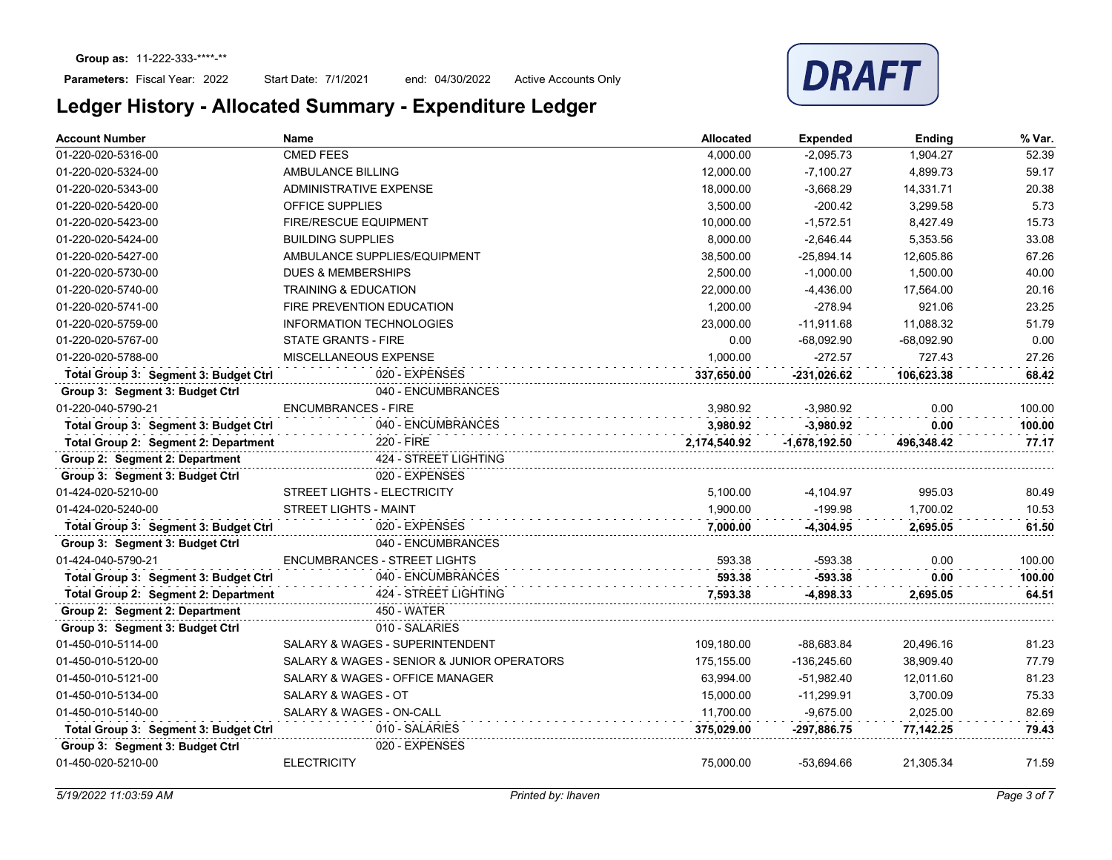Start Date: 7/1/2021 end: 04/30/2022 Active Accounts Only



| <b>Account Number</b>                 | <b>Name</b>                                | <b>Allocated</b> | <b>Expended</b> | Ending       | % Var. |
|---------------------------------------|--------------------------------------------|------------------|-----------------|--------------|--------|
| 01-220-020-5316-00                    | <b>CMED FEES</b>                           | 4.000.00         | $-2,095.73$     | 1.904.27     | 52.39  |
| 01-220-020-5324-00                    | AMBULANCE BILLING                          | 12,000.00        | $-7,100.27$     | 4,899.73     | 59.17  |
| 01-220-020-5343-00                    | <b>ADMINISTRATIVE EXPENSE</b>              | 18,000.00        | $-3,668.29$     | 14,331.71    | 20.38  |
| 01-220-020-5420-00                    | OFFICE SUPPLIES                            | 3,500.00         | $-200.42$       | 3,299.58     | 5.73   |
| 01-220-020-5423-00                    | <b>FIRE/RESCUE EQUIPMENT</b>               | 10,000.00        | $-1,572.51$     | 8,427.49     | 15.73  |
| 01-220-020-5424-00                    | <b>BUILDING SUPPLIES</b>                   | 8,000.00         | $-2,646.44$     | 5,353.56     | 33.08  |
| 01-220-020-5427-00                    | AMBULANCE SUPPLIES/EQUIPMENT               | 38,500.00        | $-25,894.14$    | 12,605.86    | 67.26  |
| 01-220-020-5730-00                    | <b>DUES &amp; MEMBERSHIPS</b>              | 2,500.00         | $-1,000.00$     | 1,500.00     | 40.00  |
| 01-220-020-5740-00                    | <b>TRAINING &amp; EDUCATION</b>            | 22,000.00        | $-4,436.00$     | 17,564.00    | 20.16  |
| 01-220-020-5741-00                    | FIRE PREVENTION EDUCATION                  | 1,200.00         | $-278.94$       | 921.06       | 23.25  |
| 01-220-020-5759-00                    | <b>INFORMATION TECHNOLOGIES</b>            | 23,000.00        | $-11,911.68$    | 11,088.32    | 51.79  |
| 01-220-020-5767-00                    | <b>STATE GRANTS - FIRE</b>                 | 0.00             | $-68.092.90$    | $-68.092.90$ | 0.00   |
| 01-220-020-5788-00                    | MISCELLANEOUS EXPENSE                      | 1.000.00         | $-272.57$       | 727.43       | 27.26  |
| Total Group 3: Segment 3: Budget Ctrl | 020 - EXPENSES                             | 337,650.00       | -231,026.62     | 106,623.38   | 68.42  |
| Group 3: Segment 3: Budget Ctrl       | 040 - ENCUMBRANCES                         |                  |                 |              |        |
| 01-220-040-5790-21                    | <b>ENCUMBRANCES - FIRE</b>                 | 3.980.92         | $-3,980.92$     | 0.00         | 100.00 |
| Total Group 3: Segment 3: Budget Ctrl | 040 - ENCUMBRANCES                         | 3,980.92         | $-3,980.92$     | 0.00         | 100.00 |
| Total Group 2: Segment 2: Department  | 220 - FIRE                                 | 2.174.540.92     | $-1.678.192.50$ | 496.348.42   | 77.17  |
| Group 2: Segment 2: Department        | 424 - STREET LIGHTING                      |                  |                 |              |        |
| Group 3: Segment 3: Budget Ctrl       | 020 - EXPENSES                             |                  |                 |              |        |
| 01-424-020-5210-00                    | <b>STREET LIGHTS - ELECTRICITY</b>         | 5,100.00         | $-4,104.97$     | 995.03       | 80.49  |
| 01-424-020-5240-00                    | <b>STREET LIGHTS - MAINT</b>               | 1,900.00         | $-199.98$       | 1,700.02     | 10.53  |
| Total Group 3: Segment 3: Budget Ctrl | 020 - EXPENSES                             | 7,000.00         | $-4.304.95$     | 2,695.05     | 61.50  |
| Group 3: Segment 3: Budget Ctrl       | 040 - ENCUMBRANCES                         |                  |                 |              |        |
| 01-424-040-5790-21                    | <b>ENCUMBRANCES - STREET LIGHTS</b>        | 593.38           | $-593.38$       | 0.00         | 100.00 |
| Total Group 3: Segment 3: Budget Ctrl | 040 - ENCUMBRANCES                         | 593.38           | $-593.38$       | 0.00         | 100.00 |
| Total Group 2: Segment 2: Department  | 424 - STREET LIGHTING                      | 7,593.38         | $-4,898.33$     | 2,695.05     | 64.51  |
| Group 2: Segment 2: Department        | <b>450 - WATER</b>                         |                  |                 |              |        |
| Group 3: Segment 3: Budget Ctrl       | 010 - SALARIES                             |                  |                 |              |        |
| 01-450-010-5114-00                    | SALARY & WAGES - SUPERINTENDENT            | 109,180.00       | $-88,683.84$    | 20,496.16    | 81.23  |
| 01-450-010-5120-00                    | SALARY & WAGES - SENIOR & JUNIOR OPERATORS | 175,155.00       | $-136,245.60$   | 38,909.40    | 77.79  |
| 01-450-010-5121-00                    | SALARY & WAGES - OFFICE MANAGER            | 63,994.00        | $-51,982.40$    | 12,011.60    | 81.23  |
| 01-450-010-5134-00                    | SALARY & WAGES - OT                        | 15,000.00        | $-11,299.91$    | 3,700.09     | 75.33  |
| 01-450-010-5140-00                    | SALARY & WAGES - ON-CALL                   | 11,700.00        | $-9,675.00$     | 2,025.00     | 82.69  |
| Total Group 3: Segment 3: Budget Ctrl | 010 - SALARIES                             | 375,029.00       | -297,886.75     | 77,142.25    | 79.43  |
| Group 3: Segment 3: Budget Ctrl       | 020 - EXPENSES                             |                  |                 |              |        |
| 01-450-020-5210-00                    | <b>ELECTRICITY</b>                         | 75,000.00        | -53,694.66      | 21,305.34    | 71.59  |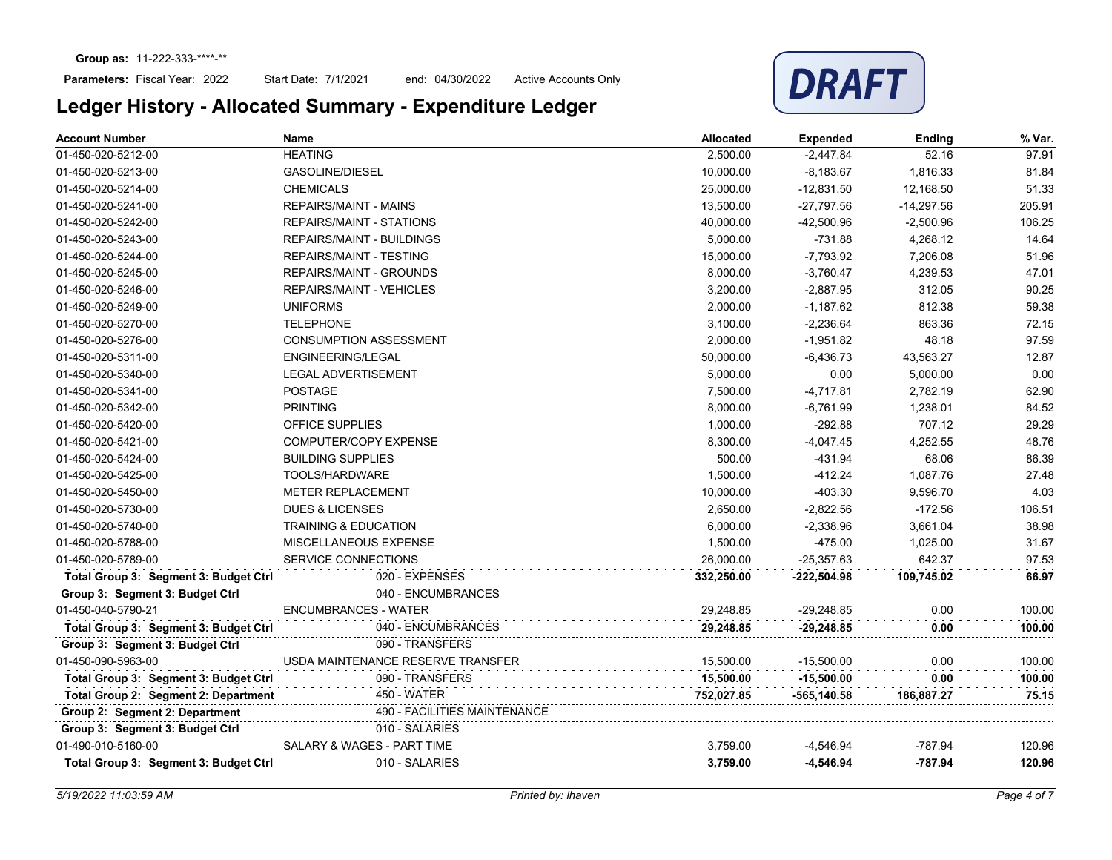## Parameters: Fiscal Year: 2022

Start Date: 7/1/2021 end: 04/30/2022 Active Accounts Only



| <b>Account Number</b>                 | Name                              | <b>Allocated</b> | <b>Expended</b> | Ending      | % Var. |
|---------------------------------------|-----------------------------------|------------------|-----------------|-------------|--------|
| 01-450-020-5212-00                    | <b>HEATING</b>                    | 2,500.00         | $-2,447.84$     | 52.16       | 97.91  |
| 01-450-020-5213-00                    | <b>GASOLINE/DIESEL</b>            | 10,000.00        | $-8,183.67$     | 1,816.33    | 81.84  |
| 01-450-020-5214-00                    | <b>CHEMICALS</b>                  | 25,000.00        | $-12,831.50$    | 12,168.50   | 51.33  |
| 01-450-020-5241-00                    | <b>REPAIRS/MAINT - MAINS</b>      | 13,500.00        | -27,797.56      | -14,297.56  | 205.91 |
| 01-450-020-5242-00                    | <b>REPAIRS/MAINT - STATIONS</b>   | 40,000.00        | $-42,500.96$    | $-2,500.96$ | 106.25 |
| 01-450-020-5243-00                    | <b>REPAIRS/MAINT - BUILDINGS</b>  | 5,000.00         | $-731.88$       | 4,268.12    | 14.64  |
| 01-450-020-5244-00                    | <b>REPAIRS/MAINT - TESTING</b>    | 15,000.00        | $-7,793.92$     | 7,206.08    | 51.96  |
| 01-450-020-5245-00                    | <b>REPAIRS/MAINT - GROUNDS</b>    | 8,000.00         | $-3,760.47$     | 4,239.53    | 47.01  |
| 01-450-020-5246-00                    | <b>REPAIRS/MAINT - VEHICLES</b>   | 3,200.00         | $-2,887.95$     | 312.05      | 90.25  |
| 01-450-020-5249-00                    | <b>UNIFORMS</b>                   | 2,000.00         | $-1,187.62$     | 812.38      | 59.38  |
| 01-450-020-5270-00                    | <b>TELEPHONE</b>                  | 3,100.00         | $-2,236.64$     | 863.36      | 72.15  |
| 01-450-020-5276-00                    | <b>CONSUMPTION ASSESSMENT</b>     | 2,000.00         | $-1,951.82$     | 48.18       | 97.59  |
| 01-450-020-5311-00                    | ENGINEERING/LEGAL                 | 50,000.00        | -6,436.73       | 43,563.27   | 12.87  |
| 01-450-020-5340-00                    | <b>LEGAL ADVERTISEMENT</b>        | 5,000.00         | 0.00            | 5,000.00    | 0.00   |
| 01-450-020-5341-00                    | <b>POSTAGE</b>                    | 7,500.00         | $-4,717.81$     | 2,782.19    | 62.90  |
| 01-450-020-5342-00                    | <b>PRINTING</b>                   | 8,000.00         | $-6,761.99$     | 1,238.01    | 84.52  |
| 01-450-020-5420-00                    | <b>OFFICE SUPPLIES</b>            | 1,000.00         | $-292.88$       | 707.12      | 29.29  |
| 01-450-020-5421-00                    | COMPUTER/COPY EXPENSE             | 8,300.00         | $-4,047.45$     | 4,252.55    | 48.76  |
| 01-450-020-5424-00                    | <b>BUILDING SUPPLIES</b>          | 500.00           | $-431.94$       | 68.06       | 86.39  |
| 01-450-020-5425-00                    | TOOLS/HARDWARE                    | 1,500.00         | $-412.24$       | 1,087.76    | 27.48  |
| 01-450-020-5450-00                    | METER REPLACEMENT                 | 10,000.00        | $-403.30$       | 9,596.70    | 4.03   |
| 01-450-020-5730-00                    | <b>DUES &amp; LICENSES</b>        | 2,650.00         | $-2,822.56$     | $-172.56$   | 106.51 |
| 01-450-020-5740-00                    | <b>TRAINING &amp; EDUCATION</b>   | 6,000.00         | $-2,338.96$     | 3,661.04    | 38.98  |
| 01-450-020-5788-00                    | MISCELLANEOUS EXPENSE             | 1,500.00         | $-475.00$       | 1,025.00    | 31.67  |
| 01-450-020-5789-00                    | SERVICE CONNECTIONS               | 26,000.00        | $-25,357.63$    | 642.37      | 97.53  |
| Total Group 3: Segment 3: Budget Ctrl | 020 - EXPENSES                    | 332,250.00       | -222,504.98     | 109,745.02  | 66.97  |
| Group 3: Segment 3: Budget Ctrl       | 040 - ENCUMBRANCES                |                  |                 |             |        |
| 01-450-040-5790-21                    | <b>ENCUMBRANCES - WATER</b>       | 29.248.85        | $-29,248.85$    | 0.00        | 100.00 |
| Total Group 3: Segment 3: Budget Ctrl | 040 - ENCUMBRANCES                | 29,248.85        | $-29,248.85$    | 0.00        | 100.00 |
| Group 3: Segment 3: Budget Ctrl       | 090 - TRANSFERS                   |                  |                 |             |        |
| 01-450-090-5963-00                    | USDA MAINTENANCE RESERVE TRANSFER | 15,500.00        | $-15,500.00$    | 0.00        | 100.00 |
| Total Group 3: Segment 3: Budget Ctrl | 090 - TRANSFERS                   | 15,500.00        | $-15,500.00$    | 0.00        | 100.00 |
| Total Group 2: Segment 2: Department  | <b>450 - WATER</b>                | 752,027.85       | -565,140.58     | 186,887.27  | 75.15  |
| Group 2: Segment 2: Department        | 490 - FACILITIES MAINTENANCE      |                  |                 |             |        |
| Group 3: Segment 3: Budget Ctrl       | 010 - SALARIES                    |                  |                 |             |        |
| 01-490-010-5160-00                    | SALARY & WAGES - PART TIME        | 3,759.00         | $-4,546.94$     | -787.94     | 120.96 |
| Total Group 3: Segment 3: Budget Ctrl | 010 - SALARIES                    | 3,759.00         | $-4,546.94$     | -787.94     | 120.96 |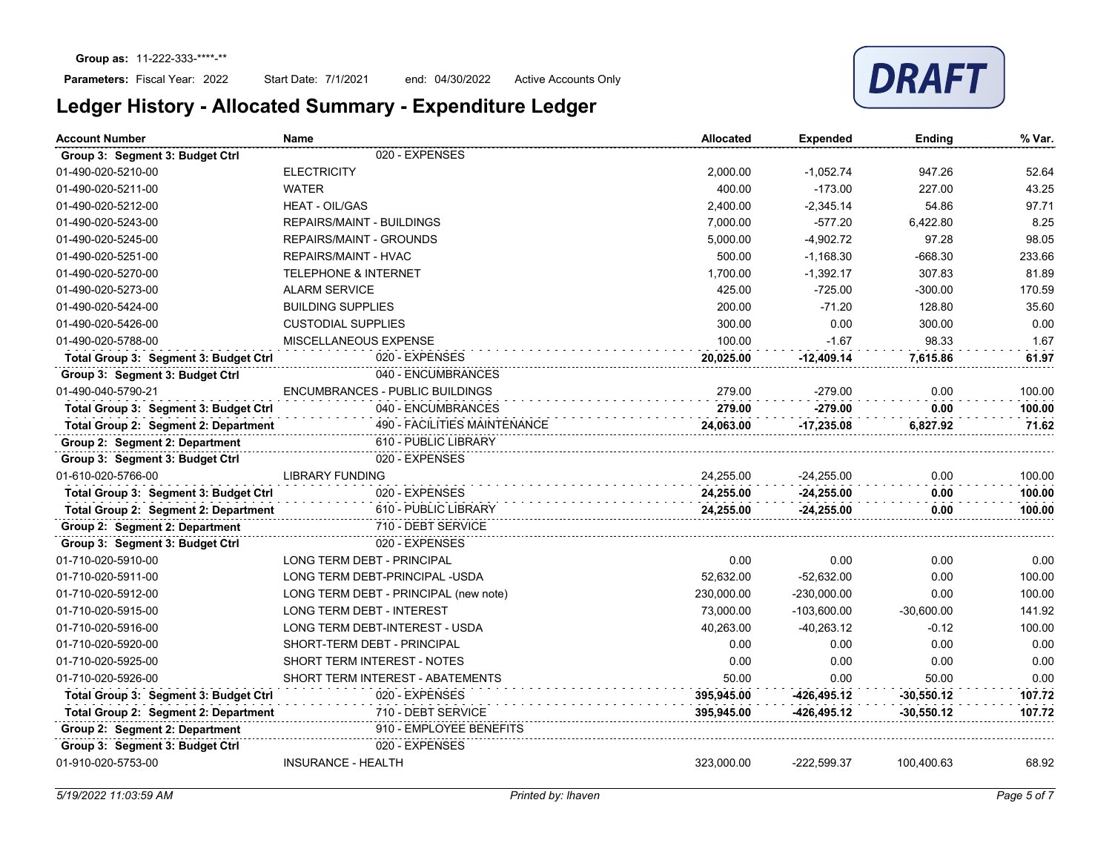

| <b>Account Number</b>                 | Name                                  | <b>Allocated</b> | <b>Expended</b> | <b>Ending</b> | % Var. |
|---------------------------------------|---------------------------------------|------------------|-----------------|---------------|--------|
| Group 3: Segment 3: Budget Ctrl       | 020 - EXPENSES                        |                  |                 |               |        |
| 01-490-020-5210-00                    | <b>ELECTRICITY</b>                    | 2,000.00         | $-1,052.74$     | 947.26        | 52.64  |
| 01-490-020-5211-00                    | <b>WATER</b>                          | 400.00           | $-173.00$       | 227.00        | 43.25  |
| 01-490-020-5212-00                    | <b>HEAT - OIL/GAS</b>                 | 2.400.00         | $-2.345.14$     | 54.86         | 97.71  |
| 01-490-020-5243-00                    | <b>REPAIRS/MAINT - BUILDINGS</b>      | 7,000.00         | $-577.20$       | 6,422.80      | 8.25   |
| 01-490-020-5245-00                    | <b>REPAIRS/MAINT - GROUNDS</b>        | 5,000.00         | $-4,902.72$     | 97.28         | 98.05  |
| 01-490-020-5251-00                    | <b>REPAIRS/MAINT - HVAC</b>           | 500.00           | $-1,168.30$     | $-668.30$     | 233.66 |
| 01-490-020-5270-00                    | <b>TELEPHONE &amp; INTERNET</b>       | 1,700.00         | $-1,392.17$     | 307.83        | 81.89  |
| 01-490-020-5273-00                    | <b>ALARM SERVICE</b>                  | 425.00           | $-725.00$       | $-300.00$     | 170.59 |
| 01-490-020-5424-00                    | <b>BUILDING SUPPLIES</b>              | 200.00           | $-71.20$        | 128.80        | 35.60  |
| 01-490-020-5426-00                    | <b>CUSTODIAL SUPPLIES</b>             | 300.00           | 0.00            | 300.00        | 0.00   |
| 01-490-020-5788-00                    | MISCELLANEOUS EXPENSE                 | 100.00           | $-1.67$         | 98.33         | 1.67   |
| Total Group 3: Segment 3: Budget Ctrl | 020 - EXPENSES                        | 20,025.00        | $-12,409.14$    | 7,615.86      | 61.97  |
| Group 3: Segment 3: Budget Ctrl       | 040 - ENCUMBRANCES                    |                  |                 |               |        |
| 01-490-040-5790-21                    | ENCUMBRANCES - PUBLIC BUILDINGS       | 279.00           | $-279.00$       | 0.00          | 100.00 |
| Total Group 3: Segment 3: Budget Ctrl | 040 - ENCUMBRANCES                    | 279.00           | $-279.00$       | 0.00          | 100.00 |
| Total Group 2: Segment 2: Department  | <b>490 - FACILITIES MAINTENANCE</b>   | 24.063.00        | $-17,235.08$    | 6,827.92      | 71.62  |
| Group 2: Segment 2: Department        | 610 - PUBLIC LIBRARY                  |                  |                 |               |        |
| Group 3: Segment 3: Budget Ctrl       | 020 - EXPENSES                        |                  |                 |               |        |
| 01-610-020-5766-00                    | <b>LIBRARY FUNDING</b>                | 24,255.00        | $-24,255.00$    | 0.00          | 100.00 |
| Total Group 3: Segment 3: Budget Ctrl | 020 - EXPENSES                        | 24,255.00        | $-24,255.00$    | 0.00          | 100.00 |
| Total Group 2: Segment 2: Department  | 610 - PUBLIC LIBRARY                  | 24,255.00        | $-24,255.00$    | 0.00          | 100.00 |
| Group 2: Segment 2: Department        | 710 - DEBT SERVICE                    |                  |                 |               |        |
| Group 3: Segment 3: Budget Ctrl       | 020 - EXPENSES                        |                  |                 |               |        |
| 01-710-020-5910-00                    | LONG TERM DEBT - PRINCIPAL            | 0.00             | 0.00            | 0.00          | 0.00   |
| 01-710-020-5911-00                    | LONG TERM DEBT-PRINCIPAL -USDA        | 52,632.00        | $-52,632.00$    | 0.00          | 100.00 |
| 01-710-020-5912-00                    | LONG TERM DEBT - PRINCIPAL (new note) | 230,000.00       | $-230,000.00$   | 0.00          | 100.00 |
| 01-710-020-5915-00                    | LONG TERM DEBT - INTEREST             | 73.000.00        | $-103.600.00$   | $-30.600.00$  | 141.92 |
| 01-710-020-5916-00                    | LONG TERM DEBT-INTEREST - USDA        | 40.263.00        | $-40,263.12$    | $-0.12$       | 100.00 |
| 01-710-020-5920-00                    | SHORT-TERM DEBT - PRINCIPAL           | 0.00             | 0.00            | 0.00          | 0.00   |
| 01-710-020-5925-00                    | SHORT TERM INTEREST - NOTES           | 0.00             | 0.00            | 0.00          | 0.00   |
| 01-710-020-5926-00                    | SHORT TERM INTEREST - ABATEMENTS      | 50.00            | 0.00            | 50.00         | 0.00   |
| Total Group 3: Segment 3: Budget Ctrl | 020 - EXPENSES                        | 395,945.00       | $-426, 495.12$  | $-30,550.12$  | 107.72 |
| Total Group 2: Segment 2: Department  | 710 - DEBT SERVICE                    | 395,945.00       | -426,495.12     | -30,550.12    | 107.72 |
| Group 2: Segment 2: Department        | 910 - EMPLOYEE BENEFITS               |                  |                 |               |        |
| Group 3: Segment 3: Budget Ctrl       | 020 - EXPENSES                        |                  |                 |               |        |
| 01-910-020-5753-00                    | <b>INSURANCE - HEALTH</b>             | 323,000.00       | $-222,599.37$   | 100,400.63    | 68.92  |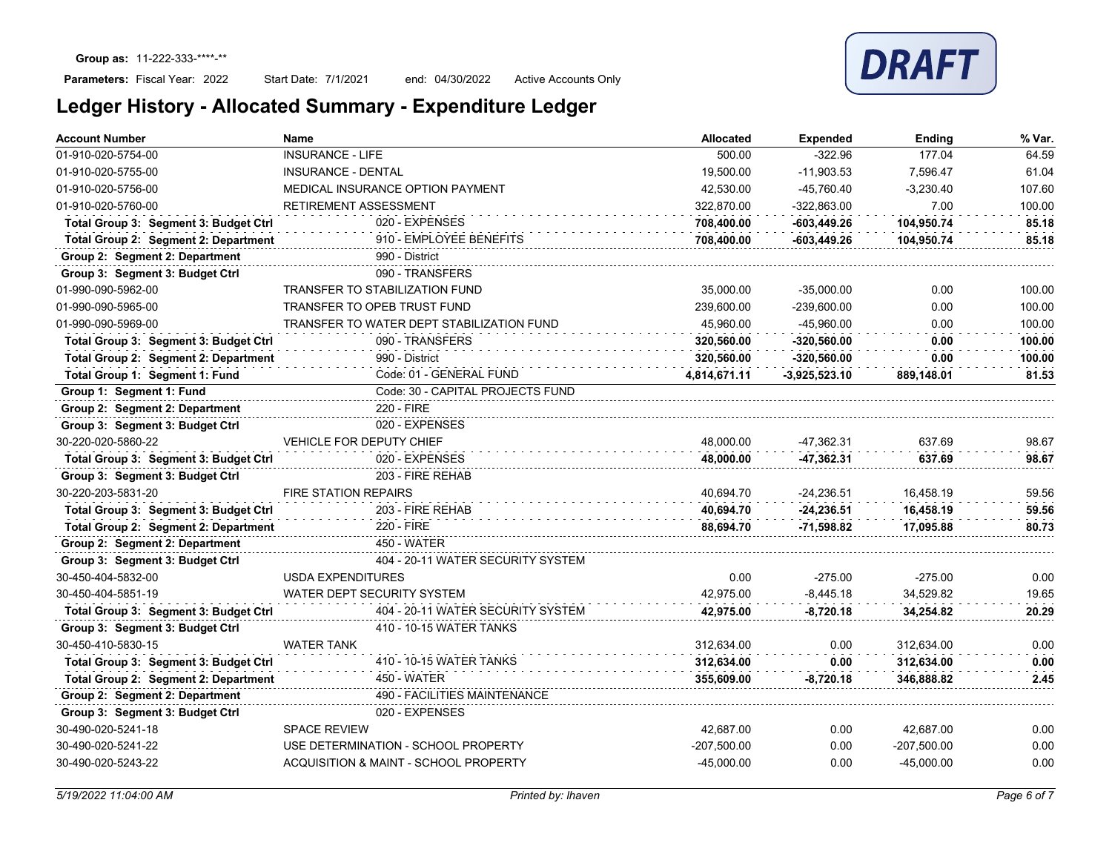## Parameters: Fiscal Year: 2022

Start Date: 7/1/2021 end: 04/30/2022 Active Accounts Only

|  |  | Ledger History - Allocated Summary - Expenditure Ledger |
|--|--|---------------------------------------------------------|
|--|--|---------------------------------------------------------|

| <b>Account Number</b>                 | Name                                      | <b>Allocated</b> | <b>Expended</b> | Ending        | % Var. |
|---------------------------------------|-------------------------------------------|------------------|-----------------|---------------|--------|
| 01-910-020-5754-00                    | <b>INSURANCE - LIFE</b>                   | 500.00           | $-322.96$       | 177.04        | 64.59  |
| 01-910-020-5755-00                    | INSURANCE - DENTAL                        | 19,500.00        | $-11,903.53$    | 7,596.47      | 61.04  |
| 01-910-020-5756-00                    | MEDICAL INSURANCE OPTION PAYMENT          | 42,530.00        | -45,760.40      | $-3,230.40$   | 107.60 |
| 01-910-020-5760-00                    | RETIREMENT ASSESSMENT                     | 322,870.00       | $-322,863.00$   | 7.00          | 100.00 |
| Total Group 3: Segment 3: Budget Ctrl | 020 - EXPENSES                            | 708,400.00       | $-603,449.26$   | 104.950.74    | 85.18  |
| Total Group 2: Segment 2: Department  | 910 - EMPLOYEE BENEFITS                   | 708,400.00       | $-603,449.26$   | 104,950.74    | 85.18  |
| Group 2: Segment 2: Department        | 990 - District                            |                  |                 |               |        |
| Group 3: Segment 3: Budget Ctrl       | 090 - TRANSFERS                           |                  |                 |               |        |
| 01-990-090-5962-00                    | TRANSFER TO STABILIZATION FUND            | 35,000.00        | $-35,000.00$    | 0.00          | 100.00 |
| 01-990-090-5965-00                    | TRANSFER TO OPEB TRUST FUND               | 239,600.00       | $-239,600.00$   | 0.00          | 100.00 |
| 01-990-090-5969-00                    | TRANSFER TO WATER DEPT STABILIZATION FUND | 45.960.00        | -45.960.00      | 0.00          | 100.00 |
| Total Group 3: Segment 3: Budget Ctrl | 090 - TRANSFERS                           | 320.560.00       | $-320.560.00$   | 0.00          | 100.00 |
| Total Group 2: Segment 2: Department  | 990 - District                            | 320,560.00       | $-320.560.00$   | 0.00          | 100.00 |
| Total Group 1: Segment 1: Fund        | Code: 01 - GENERAL FUND                   | 4,814,671.11     | $-3,925,523.10$ | 889,148.01    | 81.53  |
| Group 1: Segment 1: Fund              | Code: 30 - CAPITAL PROJECTS FUND          |                  |                 |               |        |
| Group 2: Segment 2: Department        | 220 - FIRE                                |                  |                 |               |        |
| Group 3: Segment 3: Budget Ctrl       | 020 - EXPENSES                            |                  |                 |               |        |
| 30-220-020-5860-22                    | VEHICLE FOR DEPUTY CHIEF                  | 48.000.00        | -47,362.31      | 637.69        | 98.67  |
| Total Group 3: Segment 3: Budget Ctrl | 020 - EXPENSES                            | 48,000.00        | -47,362.31      | 637.69        | 98.67  |
| Group 3: Segment 3: Budget Ctrl       | 203 - FIRE REHAB                          |                  |                 |               |        |
| 30-220-203-5831-20                    | <b>FIRE STATION REPAIRS</b>               | 40,694.70        | $-24,236.51$    | 16,458.19     | 59.56  |
| Total Group 3: Segment 3: Budget Ctrl | 203 - FIRE REHAB                          | 40,694.70        | $-24,236.51$    | 16,458.19     | 59.56  |
| Total Group 2: Segment 2: Department  | 220 - FIRE                                | 88,694.70        | -71,598.82      | 17,095.88     | 80.73  |
| Group 2: Segment 2: Department        | 450 - WATER                               |                  |                 |               |        |
| Group 3: Segment 3: Budget Ctrl       | 404 - 20-11 WATER SECURITY SYSTEM         |                  |                 |               |        |
| 30-450-404-5832-00                    | <b>USDA EXPENDITURES</b>                  | 0.00             | $-275.00$       | $-275.00$     | 0.00   |
| 30-450-404-5851-19                    | WATER DEPT SECURITY SYSTEM                | 42,975.00        | $-8,445.18$     | 34,529.82     | 19.65  |
| Total Group 3: Segment 3: Budget Ctrl | 404 - 20-11 WATER SECURITY SYSTEM         | 42,975.00        | $-8,720.18$     | 34,254.82     | 20.29  |
| Group 3: Segment 3: Budget Ctrl       | 410 - 10-15 WATER TANKS                   |                  |                 |               |        |
| 30-450-410-5830-15                    | <b>WATER TANK</b>                         | 312.634.00       | 0.00            | 312.634.00    | 0.00   |
| Total Group 3: Segment 3: Budget Ctrl | 410 - 10-15 WATER TANKS                   | 312,634.00       | 0.00            | 312,634.00    | 0.00   |
| Total Group 2: Segment 2: Department  | <b>450 - WATER</b>                        | 355,609.00       | $-8,720.18$     | 346,888.82    | 2.45   |
| Group 2: Segment 2: Department        | 490 - FACILITIES MAINTENANCE              |                  |                 |               |        |
| Group 3: Segment 3: Budget Ctrl       | 020 - EXPENSES                            |                  |                 |               |        |
| 30-490-020-5241-18                    | <b>SPACE REVIEW</b>                       | 42,687.00        | 0.00            | 42,687.00     | 0.00   |
| 30-490-020-5241-22                    | USE DETERMINATION - SCHOOL PROPERTY       | $-207,500.00$    | 0.00            | $-207,500.00$ | 0.00   |
| 30-490-020-5243-22                    | ACQUISITION & MAINT - SCHOOL PROPERTY     | $-45,000.00$     | 0.00            | -45,000.00    | 0.00   |